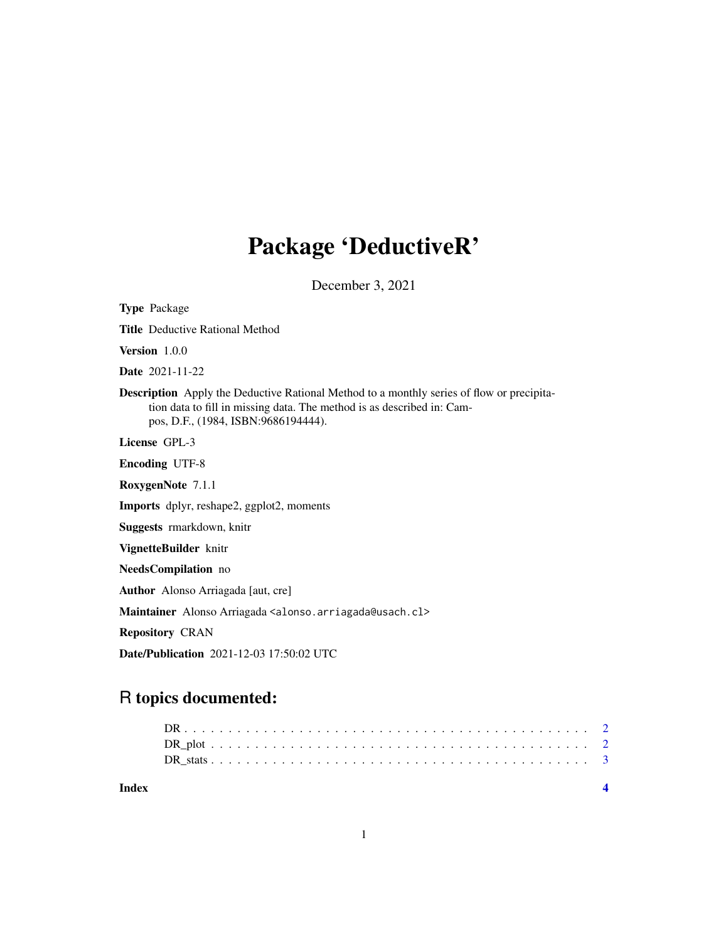## Package 'DeductiveR'

December 3, 2021

Type Package Title Deductive Rational Method Version 1.0.0 Date 2021-11-22 Description Apply the Deductive Rational Method to a monthly series of flow or precipitation data to fill in missing data. The method is as described in: Campos, D.F., (1984, ISBN:9686194444). License GPL-3 Encoding UTF-8 RoxygenNote 7.1.1 Imports dplyr, reshape2, ggplot2, moments Suggests rmarkdown, knitr VignetteBuilder knitr NeedsCompilation no Author Alonso Arriagada [aut, cre] Maintainer Alonso Arriagada <alonso.arriagada@usach.cl> Repository CRAN Date/Publication 2021-12-03 17:50:02 UTC

### R topics documented:

**Index** [4](#page-3-0)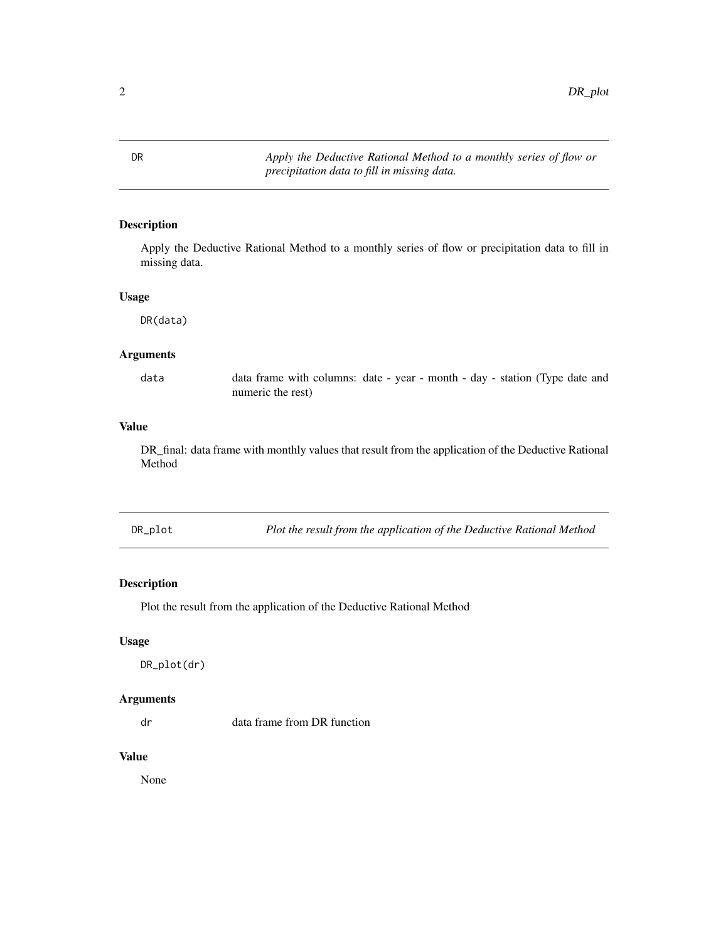<span id="page-1-0"></span>DR *Apply the Deductive Rational Method to a monthly series of flow or precipitation data to fill in missing data.*

#### Description

Apply the Deductive Rational Method to a monthly series of flow or precipitation data to fill in missing data.

#### Usage

DR(data)

#### Arguments

data data frame with columns: date - year - month - day - station (Type date and numeric the rest)

#### Value

DR\_final: data frame with monthly values that result from the application of the Deductive Rational Method

DR\_plot *Plot the result from the application of the Deductive Rational Method*

#### Description

Plot the result from the application of the Deductive Rational Method

#### Usage

DR\_plot(dr)

#### Arguments

dr data frame from DR function

#### Value

None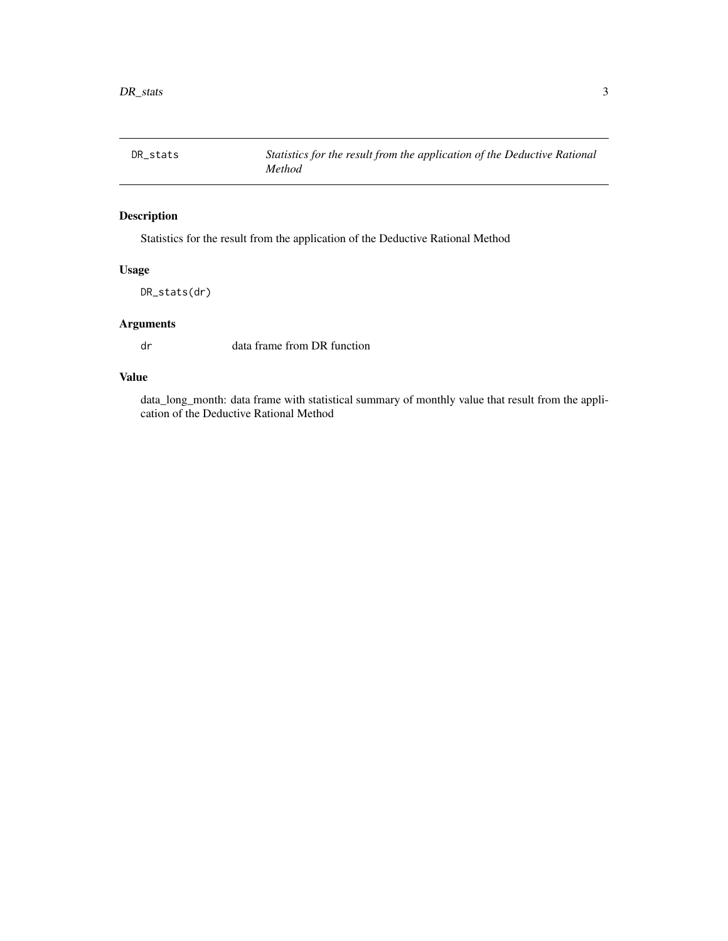<span id="page-2-0"></span>

#### Description

Statistics for the result from the application of the Deductive Rational Method

#### Usage

DR\_stats(dr)

#### Arguments

dr data frame from DR function

#### Value

data\_long\_month: data frame with statistical summary of monthly value that result from the application of the Deductive Rational Method